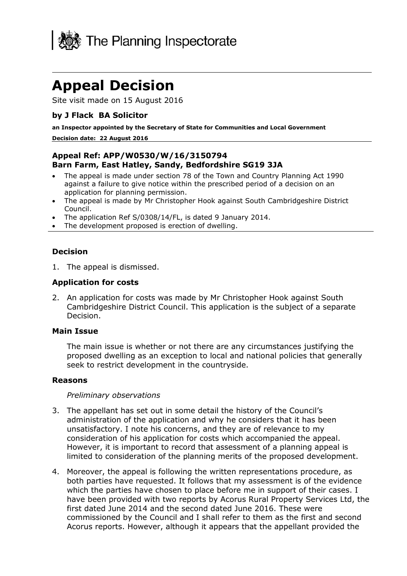

# **Appeal Decision**

Site visit made on 15 August 2016

# **by J Flack BA Solicitor**

**an Inspector appointed by the Secretary of State for Communities and Local Government**

#### **Decision date: 22 August 2016**

# **Appeal Ref: APP/W0530/W/16/3150794 Barn Farm, East Hatley, Sandy, Bedfordshire SG19 3JA**

- The appeal is made under section 78 of the Town and Country Planning Act 1990 against a failure to give notice within the prescribed period of a decision on an application for planning permission.
- The appeal is made by Mr Christopher Hook against South Cambridgeshire District Council.
- The application Ref S/0308/14/FL, is dated 9 January 2014.
- The development proposed is erection of dwelling.

## **Decision**

1. The appeal is dismissed.

## **Application for costs**

2. An application for costs was made by Mr Christopher Hook against South Cambridgeshire District Council. This application is the subject of a separate Decision.

#### **Main Issue**

The main issue is whether or not there are any circumstances justifying the proposed dwelling as an exception to local and national policies that generally seek to restrict development in the countryside.

#### **Reasons**

#### *Preliminary observations*

- 3. The appellant has set out in some detail the history of the Council's administration of the application and why he considers that it has been unsatisfactory. I note his concerns, and they are of relevance to my consideration of his application for costs which accompanied the appeal. However, it is important to record that assessment of a planning appeal is limited to consideration of the planning merits of the proposed development.
- 4. Moreover, the appeal is following the written representations procedure, as both parties have requested. It follows that my assessment is of the evidence which the parties have chosen to place before me in support of their cases. I have been provided with two reports by Acorus Rural Property Services Ltd, the first dated June 2014 and the second dated June 2016. These were commissioned by the Council and I shall refer to them as the first and second Acorus reports. However, although it appears that the appellant provided the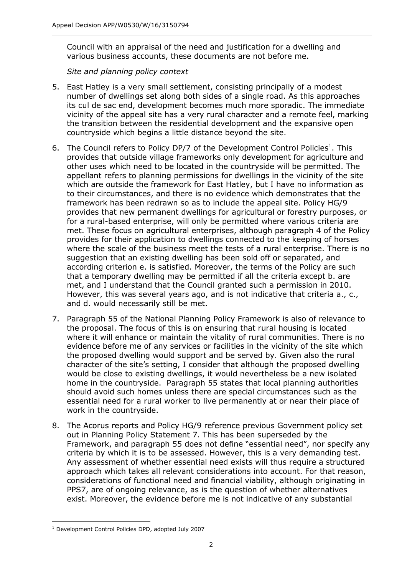Council with an appraisal of the need and justification for a dwelling and various business accounts, these documents are not before me.

*Site and planning policy context*

- 5. East Hatley is a very small settlement, consisting principally of a modest number of dwellings set along both sides of a single road. As this approaches its cul de sac end, development becomes much more sporadic. The immediate vicinity of the appeal site has a very rural character and a remote feel, marking the transition between the residential development and the expansive open countryside which begins a little distance beyond the site.
- 6. The Council refers to Policy DP/7 of the Development Control Policies<sup>1</sup>. This provides that outside village frameworks only development for agriculture and other uses which need to be located in the countryside will be permitted. The appellant refers to planning permissions for dwellings in the vicinity of the site which are outside the framework for East Hatley, but I have no information as to their circumstances, and there is no evidence which demonstrates that the framework has been redrawn so as to include the appeal site. Policy HG/9 provides that new permanent dwellings for agricultural or forestry purposes, or for a rural-based enterprise, will only be permitted where various criteria are met. These focus on agricultural enterprises, although paragraph 4 of the Policy provides for their application to dwellings connected to the keeping of horses where the scale of the business meet the tests of a rural enterprise. There is no suggestion that an existing dwelling has been sold off or separated, and according criterion e. is satisfied. Moreover, the terms of the Policy are such that a temporary dwelling may be permitted if all the criteria except b. are met, and I understand that the Council granted such a permission in 2010. However, this was several years ago, and is not indicative that criteria a., c., and d. would necessarily still be met.
- 7. Paragraph 55 of the National Planning Policy Framework is also of relevance to the proposal. The focus of this is on ensuring that rural housing is located where it will enhance or maintain the vitality of rural communities. There is no evidence before me of any services or facilities in the vicinity of the site which the proposed dwelling would support and be served by. Given also the rural character of the site's setting, I consider that although the proposed dwelling would be close to existing dwellings, it would nevertheless be a new isolated home in the countryside. Paragraph 55 states that local planning authorities should avoid such homes unless there are special circumstances such as the essential need for a rural worker to live permanently at or near their place of work in the countryside.
- 8. The Acorus reports and Policy HG/9 reference previous Government policy set out in Planning Policy Statement 7. This has been superseded by the Framework, and paragraph 55 does not define "essential need", nor specify any criteria by which it is to be assessed. However, this is a very demanding test. Any assessment of whether essential need exists will thus require a structured approach which takes all relevant considerations into account. For that reason, considerations of functional need and financial viability, although originating in PPS7, are of ongoing relevance, as is the question of whether alternatives exist. Moreover, the evidence before me is not indicative of any substantial

j <sup>1</sup> Development Control Policies DPD, adopted July 2007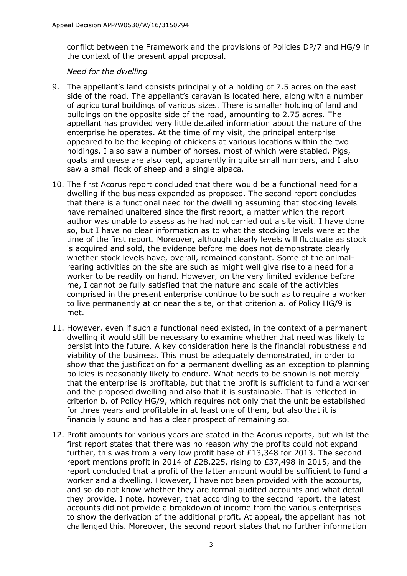conflict between the Framework and the provisions of Policies DP/7 and HG/9 in the context of the present appal proposal.

# *Need for the dwelling*

- 9. The appellant's land consists principally of a holding of 7.5 acres on the east side of the road. The appellant's caravan is located here, along with a number of agricultural buildings of various sizes. There is smaller holding of land and buildings on the opposite side of the road, amounting to 2.75 acres. The appellant has provided very little detailed information about the nature of the enterprise he operates. At the time of my visit, the principal enterprise appeared to be the keeping of chickens at various locations within the two holdings. I also saw a number of horses, most of which were stabled. Pigs, goats and geese are also kept, apparently in quite small numbers, and I also saw a small flock of sheep and a single alpaca.
- 10. The first Acorus report concluded that there would be a functional need for a dwelling if the business expanded as proposed. The second report concludes that there is a functional need for the dwelling assuming that stocking levels have remained unaltered since the first report, a matter which the report author was unable to assess as he had not carried out a site visit. I have done so, but I have no clear information as to what the stocking levels were at the time of the first report. Moreover, although clearly levels will fluctuate as stock is acquired and sold, the evidence before me does not demonstrate clearly whether stock levels have, overall, remained constant. Some of the animalrearing activities on the site are such as might well give rise to a need for a worker to be readily on hand. However, on the very limited evidence before me, I cannot be fully satisfied that the nature and scale of the activities comprised in the present enterprise continue to be such as to require a worker to live permanently at or near the site, or that criterion a. of Policy HG/9 is met.
- 11. However, even if such a functional need existed, in the context of a permanent dwelling it would still be necessary to examine whether that need was likely to persist into the future. A key consideration here is the financial robustness and viability of the business. This must be adequately demonstrated, in order to show that the justification for a permanent dwelling as an exception to planning policies is reasonably likely to endure. What needs to be shown is not merely that the enterprise is profitable, but that the profit is sufficient to fund a worker and the proposed dwelling and also that it is sustainable. That is reflected in criterion b. of Policy HG/9, which requires not only that the unit be established for three years and profitable in at least one of them, but also that it is financially sound and has a clear prospect of remaining so.
- 12. Profit amounts for various years are stated in the Acorus reports, but whilst the first report states that there was no reason why the profits could not expand further, this was from a very low profit base of £13,348 for 2013. The second report mentions profit in 2014 of £28,225, rising to £37,498 in 2015, and the report concluded that a profit of the latter amount would be sufficient to fund a worker and a dwelling. However, I have not been provided with the accounts, and so do not know whether they are formal audited accounts and what detail they provide. I note, however, that according to the second report, the latest accounts did not provide a breakdown of income from the various enterprises to show the derivation of the additional profit. At appeal, the appellant has not challenged this. Moreover, the second report states that no further information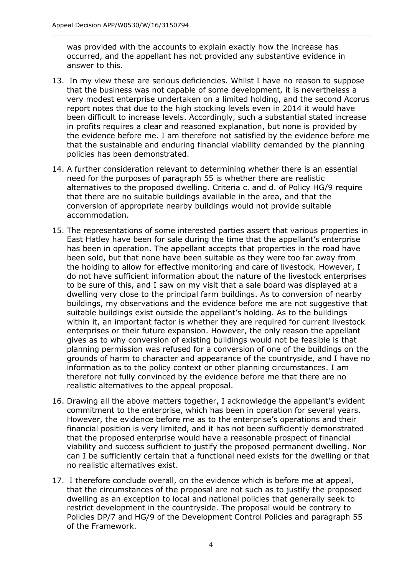was provided with the accounts to explain exactly how the increase has occurred, and the appellant has not provided any substantive evidence in answer to this.

- 13. In my view these are serious deficiencies. Whilst I have no reason to suppose that the business was not capable of some development, it is nevertheless a very modest enterprise undertaken on a limited holding, and the second Acorus report notes that due to the high stocking levels even in 2014 it would have been difficult to increase levels. Accordingly, such a substantial stated increase in profits requires a clear and reasoned explanation, but none is provided by the evidence before me. I am therefore not satisfied by the evidence before me that the sustainable and enduring financial viability demanded by the planning policies has been demonstrated.
- 14. A further consideration relevant to determining whether there is an essential need for the purposes of paragraph 55 is whether there are realistic alternatives to the proposed dwelling. Criteria c. and d. of Policy HG/9 require that there are no suitable buildings available in the area, and that the conversion of appropriate nearby buildings would not provide suitable accommodation.
- 15. The representations of some interested parties assert that various properties in East Hatley have been for sale during the time that the appellant's enterprise has been in operation. The appellant accepts that properties in the road have been sold, but that none have been suitable as they were too far away from the holding to allow for effective monitoring and care of livestock. However, I do not have sufficient information about the nature of the livestock enterprises to be sure of this, and I saw on my visit that a sale board was displayed at a dwelling very close to the principal farm buildings. As to conversion of nearby buildings, my observations and the evidence before me are not suggestive that suitable buildings exist outside the appellant's holding. As to the buildings within it, an important factor is whether they are required for current livestock enterprises or their future expansion. However, the only reason the appellant gives as to why conversion of existing buildings would not be feasible is that planning permission was refused for a conversion of one of the buildings on the grounds of harm to character and appearance of the countryside, and I have no information as to the policy context or other planning circumstances. I am therefore not fully convinced by the evidence before me that there are no realistic alternatives to the appeal proposal.
- 16. Drawing all the above matters together, I acknowledge the appellant's evident commitment to the enterprise, which has been in operation for several years. However, the evidence before me as to the enterprise's operations and their financial position is very limited, and it has not been sufficiently demonstrated that the proposed enterprise would have a reasonable prospect of financial viability and success sufficient to justify the proposed permanent dwelling. Nor can I be sufficiently certain that a functional need exists for the dwelling or that no realistic alternatives exist.
- 17. I therefore conclude overall, on the evidence which is before me at appeal, that the circumstances of the proposal are not such as to justify the proposed dwelling as an exception to local and national policies that generally seek to restrict development in the countryside. The proposal would be contrary to Policies DP/7 and HG/9 of the Development Control Policies and paragraph 55 of the Framework.